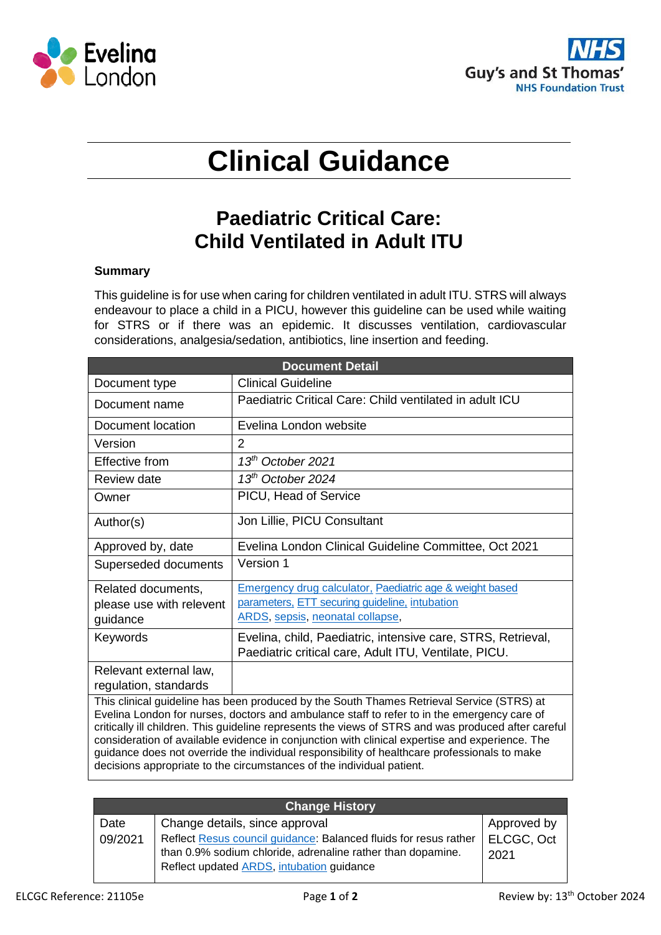



# **Clinical Guidance**

# **Paediatric Critical Care: Child Ventilated in Adult ITU**

## **Summary**

This guideline is for use when caring for children ventilated in adult ITU. STRS will always endeavour to place a child in a PICU, however this guideline can be used while waiting for STRS or if there was an epidemic. It discusses ventilation, cardiovascular considerations, analgesia/sedation, antibiotics, line insertion and feeding.

| <b>Document Detail</b>                                                                                                                                                                                                                                                                                                                                                                                                                                                                                                   |                                                                                                                       |  |  |  |
|--------------------------------------------------------------------------------------------------------------------------------------------------------------------------------------------------------------------------------------------------------------------------------------------------------------------------------------------------------------------------------------------------------------------------------------------------------------------------------------------------------------------------|-----------------------------------------------------------------------------------------------------------------------|--|--|--|
| Document type                                                                                                                                                                                                                                                                                                                                                                                                                                                                                                            | <b>Clinical Guideline</b>                                                                                             |  |  |  |
| Document name                                                                                                                                                                                                                                                                                                                                                                                                                                                                                                            | Paediatric Critical Care: Child ventilated in adult ICU                                                               |  |  |  |
| Document location                                                                                                                                                                                                                                                                                                                                                                                                                                                                                                        | Evelina London website                                                                                                |  |  |  |
| Version                                                                                                                                                                                                                                                                                                                                                                                                                                                                                                                  | 2                                                                                                                     |  |  |  |
| <b>Effective from</b>                                                                                                                                                                                                                                                                                                                                                                                                                                                                                                    | $13th$ October 2021                                                                                                   |  |  |  |
| Review date                                                                                                                                                                                                                                                                                                                                                                                                                                                                                                              | $13th$ October 2024                                                                                                   |  |  |  |
| Owner                                                                                                                                                                                                                                                                                                                                                                                                                                                                                                                    | PICU, Head of Service                                                                                                 |  |  |  |
| Author(s)                                                                                                                                                                                                                                                                                                                                                                                                                                                                                                                | Jon Lillie, PICU Consultant                                                                                           |  |  |  |
| Approved by, date                                                                                                                                                                                                                                                                                                                                                                                                                                                                                                        | Evelina London Clinical Guideline Committee, Oct 2021                                                                 |  |  |  |
| Superseded documents                                                                                                                                                                                                                                                                                                                                                                                                                                                                                                     | Version 1                                                                                                             |  |  |  |
| Related documents,                                                                                                                                                                                                                                                                                                                                                                                                                                                                                                       | Emergency drug calculator, Paediatric age & weight based                                                              |  |  |  |
| please use with relevent                                                                                                                                                                                                                                                                                                                                                                                                                                                                                                 | parameters, ETT securing guideline, intubation                                                                        |  |  |  |
| guidance                                                                                                                                                                                                                                                                                                                                                                                                                                                                                                                 | ARDS, sepsis, neonatal collapse,                                                                                      |  |  |  |
| Keywords                                                                                                                                                                                                                                                                                                                                                                                                                                                                                                                 | Evelina, child, Paediatric, intensive care, STRS, Retrieval,<br>Paediatric critical care, Adult ITU, Ventilate, PICU. |  |  |  |
| Relevant external law,<br>regulation, standards                                                                                                                                                                                                                                                                                                                                                                                                                                                                          |                                                                                                                       |  |  |  |
| This clinical guideline has been produced by the South Thames Retrieval Service (STRS) at<br>Evelina London for nurses, doctors and ambulance staff to refer to in the emergency care of<br>critically ill children. This guideline represents the views of STRS and was produced after careful<br>consideration of available evidence in conjunction with clinical expertise and experience. The<br>لمراموس مهلوام ويمامهم فمستور وسمو والالمماط فالمتابا والمسموموس المربادات بالموزر والهمالة والمستبط فمسام والمسمام |                                                                                                                       |  |  |  |

guidance does not override the individual responsibility of healthcare professionals to make decisions appropriate to the circumstances of the individual patient.

| <b>Change History</b> |                                                                                                                                                                              |                    |  |  |  |
|-----------------------|------------------------------------------------------------------------------------------------------------------------------------------------------------------------------|--------------------|--|--|--|
| Date                  | Change details, since approval                                                                                                                                               | Approved by        |  |  |  |
| 09/2021               | Reflect Resus council guidance: Balanced fluids for resus rather<br>than 0.9% sodium chloride, adrenaline rather than dopamine.<br>Reflect updated ARDS, intubation guidance | ELCGC, Oct<br>2021 |  |  |  |